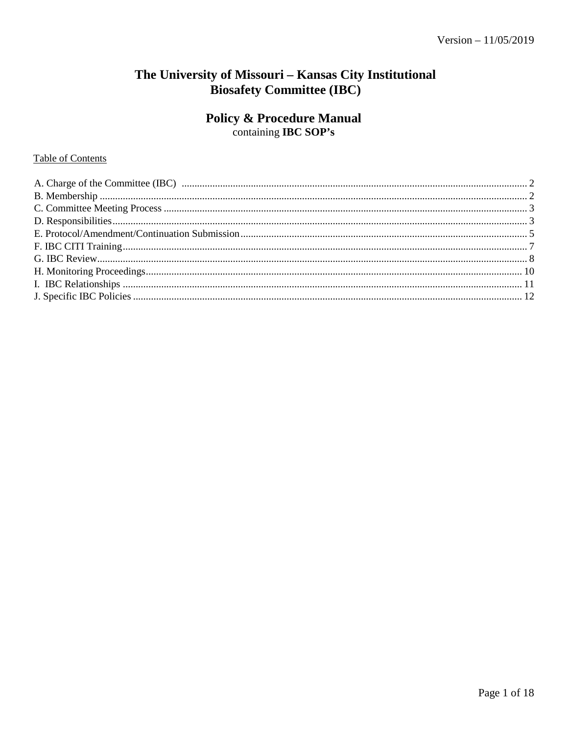# The University of Missouri - Kansas City Institutional **Biosafety Committee (IBC)**

# **Policy & Procedure Manual**

containing IBC SOP's

# Table of Contents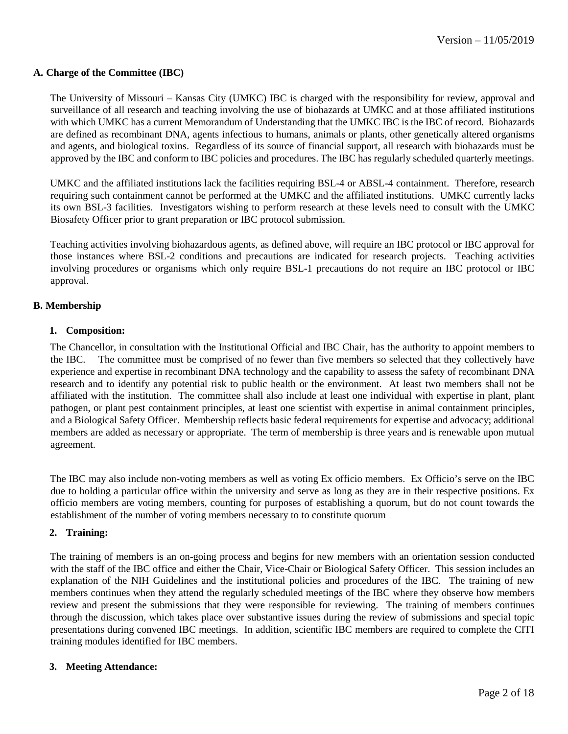## <span id="page-1-0"></span>**A. Charge of the Committee (IBC)**

The University of Missouri – Kansas City (UMKC) IBC is charged with the responsibility for review, approval and surveillance of all research and teaching involving the use of biohazards at UMKC and at those affiliated institutions with which UMKC has a current Memorandum of Understanding that the UMKC IBC is the IBC of record. Biohazards are defined as recombinant DNA, agents infectious to humans, animals or plants, other genetically altered organisms and agents, and biological toxins. Regardless of its source of financial support, all research with biohazards must be approved by the IBC and conform to IBC policies and procedures. The IBC has regularly scheduled quarterly meetings.

UMKC and the affiliated institutions lack the facilities requiring BSL-4 or ABSL-4 containment. Therefore, research requiring such containment cannot be performed at the UMKC and the affiliated institutions. UMKC currently lacks its own BSL-3 facilities. Investigators wishing to perform research at these levels need to consult with the UMKC Biosafety Officer prior to grant preparation or IBC protocol submission.

Teaching activities involving biohazardous agents, as defined above, will require an IBC protocol or IBC approval for those instances where BSL-2 conditions and precautions are indicated for research projects. Teaching activities involving procedures or organisms which only require BSL-1 precautions do not require an IBC protocol or IBC approval.

# <span id="page-1-1"></span>**B. Membership**

## **1. Composition:**

The Chancellor, in consultation with the Institutional Official and IBC Chair, has the authority to appoint members to the IBC. The committee must be comprised of no fewer than five members so selected that they collectively have experience and expertise in recombinant DNA technology and the capability to assess the safety of recombinant DNA research and to identify any potential risk to public health or the environment. At least two members shall not be affiliated with the institution. The committee shall also include at least one individual with expertise in plant, plant pathogen, or plant pest containment principles, at least one scientist with expertise in animal containment principles, and a Biological Safety Officer. Membership reflects basic federal requirements for expertise and advocacy; additional members are added as necessary or appropriate. The term of membership is three years and is renewable upon mutual agreement.

The IBC may also include non-voting members as well as voting Ex officio members. Ex Officio's serve on the IBC due to holding a particular office within the university and serve as long as they are in their respective positions. Ex officio members are voting members, counting for purposes of establishing a quorum, but do not count towards the establishment of the number of voting members necessary to to constitute quorum

## **2. Training:**

The training of members is an on-going process and begins for new members with an orientation session conducted with the staff of the IBC office and either the Chair, Vice-Chair or Biological Safety Officer. This session includes an explanation of the NIH Guidelines and the institutional policies and procedures of the IBC. The training of new members continues when they attend the regularly scheduled meetings of the IBC where they observe how members review and present the submissions that they were responsible for reviewing. The training of members continues through the discussion, which takes place over substantive issues during the review of submissions and special topic presentations during convened IBC meetings. In addition, scientific IBC members are required to complete the CITI training modules identified for IBC members.

## **3. Meeting Attendance:**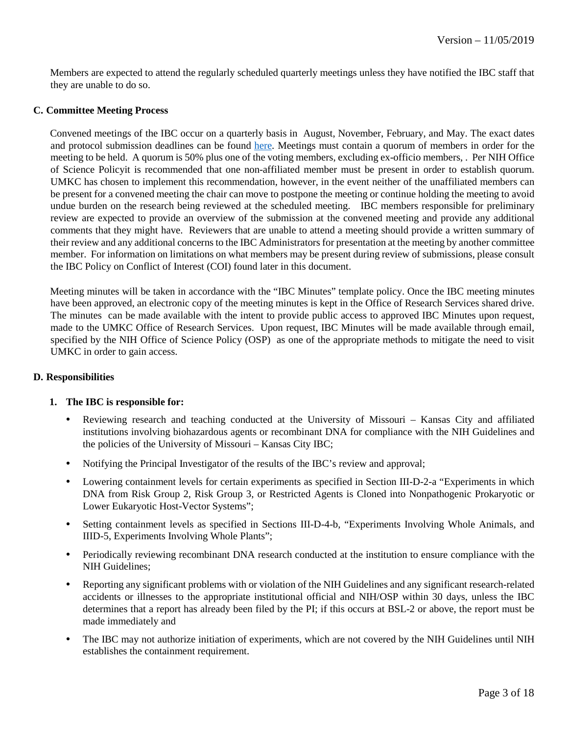Members are expected to attend the regularly scheduled quarterly meetings unless they have notified the IBC staff that they are unable to do so.

#### <span id="page-2-0"></span>**C. Committee Meeting Process**

Convened meetings of the IBC occur on a quarterly basis in August, November, February, and May. The exact dates and protocol submission deadlines can be found [here.](http://ors.umkc.edu/research-compliance/institutional-biosafety-committee-(ibc)/ibc-meetings) Meetings must contain a quorum of members in order for the meeting to be held. A quorum is 50% plus one of the voting members, excluding ex-officio members, . Per NIH Office of Science Policyit is recommended that one non-affiliated member must be present in order to establish quorum. UMKC has chosen to implement this recommendation, however, in the event neither of the unaffiliated members can be present for a convened meeting the chair can move to postpone the meeting or continue holding the meeting to avoid undue burden on the research being reviewed at the scheduled meeting. IBC members responsible for preliminary review are expected to provide an overview of the submission at the convened meeting and provide any additional comments that they might have. Reviewers that are unable to attend a meeting should provide a written summary of their review and any additional concerns to the IBC Administrators for presentation at the meeting by another committee member. For information on limitations on what members may be present during review of submissions, please consult the IBC Policy on Conflict of Interest (COI) found later in this document.

Meeting minutes will be taken in accordance with the "IBC Minutes" template policy. Once the IBC meeting minutes have been approved, an electronic copy of the meeting minutes is kept in the Office of Research Services shared drive. The minutes can be made available with the intent to provide public access to approved IBC Minutes upon request, made to the UMKC Office of Research Services. Upon request, IBC Minutes will be made available through email, specified by the NIH Office of Science Policy (OSP) as one of the appropriate methods to mitigate the need to visit UMKC in order to gain access.

## <span id="page-2-1"></span>**D. Responsibilities**

## **1. The IBC is responsible for:**

- Reviewing research and teaching conducted at the University of Missouri Kansas City and affiliated institutions involving biohazardous agents or recombinant DNA for compliance with the NIH Guidelines and the policies of the University of Missouri – Kansas City IBC;
- Notifying the Principal Investigator of the results of the IBC's review and approval;
- Lowering containment levels for certain experiments as specified in Section III-D-2-a "Experiments in which DNA from Risk Group 2, Risk Group 3, or Restricted Agents is Cloned into Nonpathogenic Prokaryotic or Lower Eukaryotic Host-Vector Systems";
- Setting containment levels as specified in Sections III-D-4-b, "Experiments Involving Whole Animals, and IIID-5, Experiments Involving Whole Plants";
- Periodically reviewing recombinant DNA research conducted at the institution to ensure compliance with the NIH Guidelines;
- Reporting any significant problems with or violation of the NIH Guidelines and any significant research-related accidents or illnesses to the appropriate institutional official and NIH/OSP within 30 days, unless the IBC determines that a report has already been filed by the PI; if this occurs at BSL-2 or above, the report must be made immediately and
- The IBC may not authorize initiation of experiments, which are not covered by the NIH Guidelines until NIH establishes the containment requirement.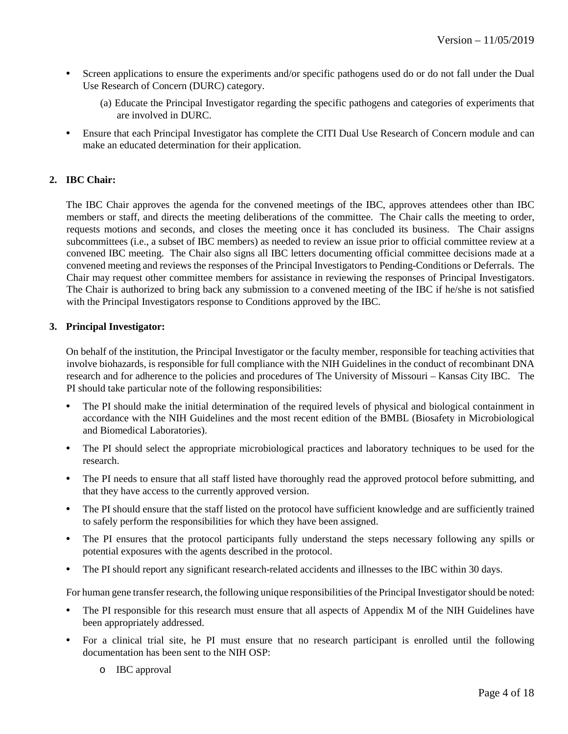- Screen applications to ensure the experiments and/or specific pathogens used do or do not fall under the Dual Use Research of Concern (DURC) category.
	- (a) Educate the Principal Investigator regarding the specific pathogens and categories of experiments that are involved in DURC.
- Ensure that each Principal Investigator has complete the CITI Dual Use Research of Concern module and can make an educated determination for their application.

# **2. IBC Chair:**

The IBC Chair approves the agenda for the convened meetings of the IBC, approves attendees other than IBC members or staff, and directs the meeting deliberations of the committee. The Chair calls the meeting to order, requests motions and seconds, and closes the meeting once it has concluded its business. The Chair assigns subcommittees (i.e., a subset of IBC members) as needed to review an issue prior to official committee review at a convened IBC meeting. The Chair also signs all IBC letters documenting official committee decisions made at a convened meeting and reviews the responses of the Principal Investigators to Pending-Conditions or Deferrals. The Chair may request other committee members for assistance in reviewing the responses of Principal Investigators. The Chair is authorized to bring back any submission to a convened meeting of the IBC if he/she is not satisfied with the Principal Investigators response to Conditions approved by the IBC.

## **3. Principal Investigator:**

On behalf of the institution, the Principal Investigator or the faculty member, responsible for teaching activities that involve biohazards, is responsible for full compliance with the NIH Guidelines in the conduct of recombinant DNA research and for adherence to the policies and procedures of The University of Missouri – Kansas City IBC. The PI should take particular note of the following responsibilities:

- The PI should make the initial determination of the required levels of physical and biological containment in accordance with the NIH Guidelines and the most recent edition of the BMBL (Biosafety in Microbiological and Biomedical Laboratories).
- The PI should select the appropriate microbiological practices and laboratory techniques to be used for the research.
- The PI needs to ensure that all staff listed have thoroughly read the approved protocol before submitting, and that they have access to the currently approved version.
- The PI should ensure that the staff listed on the protocol have sufficient knowledge and are sufficiently trained to safely perform the responsibilities for which they have been assigned.
- The PI ensures that the protocol participants fully understand the steps necessary following any spills or potential exposures with the agents described in the protocol.
- The PI should report any significant research-related accidents and illnesses to the IBC within 30 days.

For human gene transfer research, the following unique responsibilities of the Principal Investigator should be noted:

- The PI responsible for this research must ensure that all aspects of Appendix M of the NIH Guidelines have been appropriately addressed.
- For a clinical trial site, he PI must ensure that no research participant is enrolled until the following documentation has been sent to the NIH OSP:
	- o IBC approval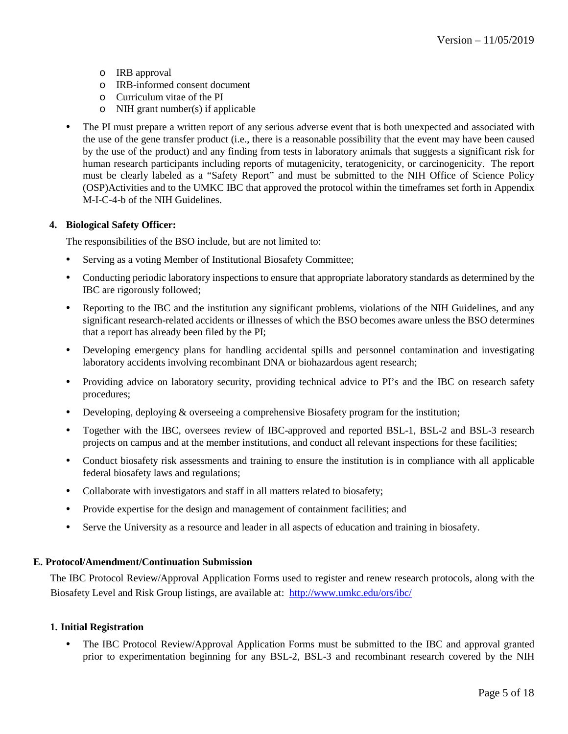- o IRB approval
- o IRB-informed consent document
- o Curriculum vitae of the PI
- o NIH grant number(s) if applicable
- The PI must prepare a written report of any serious adverse event that is both unexpected and associated with the use of the gene transfer product (i.e., there is a reasonable possibility that the event may have been caused by the use of the product) and any finding from tests in laboratory animals that suggests a significant risk for human research participants including reports of mutagenicity, teratogenicity, or carcinogenicity. The report must be clearly labeled as a "Safety Report" and must be submitted to the NIH Office of Science Policy (OSP)Activities and to the UMKC IBC that approved the protocol within the timeframes set forth in Appendix M-I-C-4-b of the NIH Guidelines.

## **4. Biological Safety Officer:**

The responsibilities of the BSO include, but are not limited to:

- Serving as a voting Member of Institutional Biosafety Committee;
- Conducting periodic laboratory inspections to ensure that appropriate laboratory standards as determined by the IBC are rigorously followed;
- Reporting to the IBC and the institution any significant problems, violations of the NIH Guidelines, and any significant research-related accidents or illnesses of which the BSO becomes aware unless the BSO determines that a report has already been filed by the PI;
- Developing emergency plans for handling accidental spills and personnel contamination and investigating laboratory accidents involving recombinant DNA or biohazardous agent research;
- Providing advice on laboratory security, providing technical advice to PI's and the IBC on research safety procedures;
- Developing, deploying & overseeing a comprehensive Biosafety program for the institution;
- Together with the IBC, oversees review of IBC-approved and reported BSL-1, BSL-2 and BSL-3 research projects on campus and at the member institutions, and conduct all relevant inspections for these facilities;
- Conduct biosafety risk assessments and training to ensure the institution is in compliance with all applicable federal biosafety laws and regulations;
- Collaborate with investigators and staff in all matters related to biosafety;
- Provide expertise for the design and management of containment facilities; and
- Serve the University as a resource and leader in all aspects of education and training in biosafety.

## <span id="page-4-0"></span>**E. Protocol/Amendment/Continuation Submission**

The IBC Protocol Review/Approval Application Forms used to register and renew research protocols, along with the Biosafety Level and Risk Group listings, are available at: <http://www.umkc.edu/ors/ibc/>

## **1. Initial Registration**

• The IBC Protocol Review/Approval Application Forms must be submitted to the IBC and approval granted prior to experimentation beginning for any BSL-2, BSL-3 and recombinant research covered by the NIH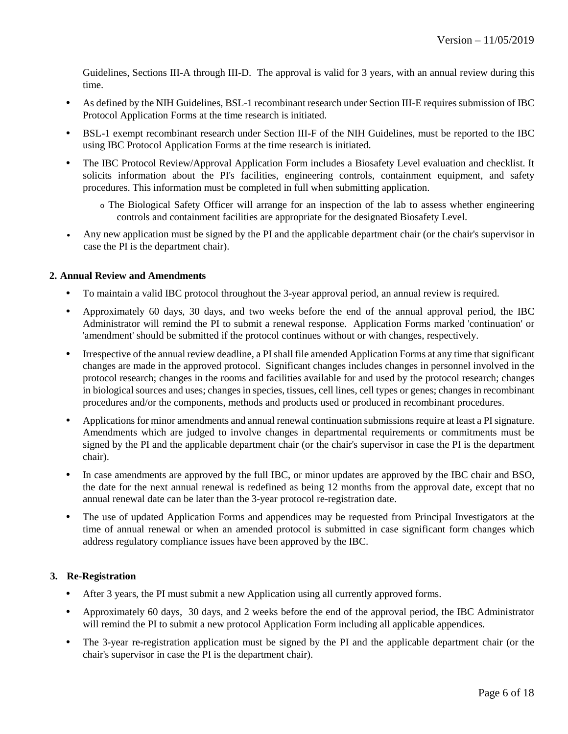Guidelines, Sections III-A through III-D. The approval is valid for 3 years, with an annual review during this time.

- As defined by the NIH Guidelines, BSL-1 recombinant research under Section III-E requires submission of IBC Protocol Application Forms at the time research is initiated.
- BSL-1 exempt recombinant research under Section III-F of the NIH Guidelines, must be reported to the IBC using IBC Protocol Application Forms at the time research is initiated.
- The IBC Protocol Review/Approval Application Form includes a Biosafety Level evaluation and checklist. It solicits information about the PI's facilities, engineering controls, containment equipment, and safety procedures. This information must be completed in full when submitting application.
	- o The Biological Safety Officer will arrange for an inspection of the lab to assess whether engineering controls and containment facilities are appropriate for the designated Biosafety Level.
- Any new application must be signed by the PI and the applicable department chair (or the chair's supervisor in case the PI is the department chair).

# **2. Annual Review and Amendments**

- To maintain a valid IBC protocol throughout the 3-year approval period, an annual review is required.
- Approximately 60 days, 30 days, and two weeks before the end of the annual approval period, the IBC Administrator will remind the PI to submit a renewal response. Application Forms marked 'continuation' or 'amendment' should be submitted if the protocol continues without or with changes, respectively.
- Irrespective of the annual review deadline, a PI shall file amended Application Forms at any time that significant changes are made in the approved protocol. Significant changes includes changes in personnel involved in the protocol research; changes in the rooms and facilities available for and used by the protocol research; changes in biological sources and uses; changes in species, tissues, cell lines, cell types or genes; changes in recombinant procedures and/or the components, methods and products used or produced in recombinant procedures.
- Applications for minor amendments and annual renewal continuation submissions require at least a PI signature. Amendments which are judged to involve changes in departmental requirements or commitments must be signed by the PI and the applicable department chair (or the chair's supervisor in case the PI is the department chair).
- In case amendments are approved by the full IBC, or minor updates are approved by the IBC chair and BSO, the date for the next annual renewal is redefined as being 12 months from the approval date, except that no annual renewal date can be later than the 3-year protocol re-registration date.
- The use of updated Application Forms and appendices may be requested from Principal Investigators at the time of annual renewal or when an amended protocol is submitted in case significant form changes which address regulatory compliance issues have been approved by the IBC.

# **3. Re-Registration**

- After 3 years, the PI must submit a new Application using all currently approved forms.
- Approximately 60 days, 30 days, and 2 weeks before the end of the approval period, the IBC Administrator will remind the PI to submit a new protocol Application Form including all applicable appendices.
- The 3-year re-registration application must be signed by the PI and the applicable department chair (or the chair's supervisor in case the PI is the department chair).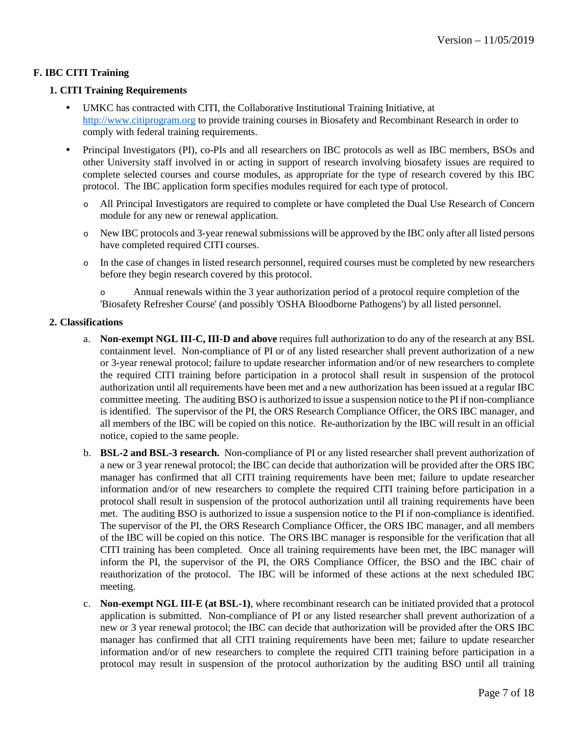# <span id="page-6-0"></span>**F. IBC CITI Training**

## **1. CITI Training Requirements**

- UMKC has contracted with CITI, the Collaborative Institutional Training Initiative, at [http://www.citiprogram.org](http://www.citiprogram.org/) to provide training courses in Biosafety and Recombinant Research in order to comply with federal training requirements.
- Principal Investigators (PI), co-PIs and all researchers on IBC protocols as well as IBC members, BSOs and other University staff involved in or acting in support of research involving biosafety issues are required to complete selected courses and course modules, as appropriate for the type of research covered by this IBC protocol. The IBC application form specifies modules required for each type of protocol.
	- o All Principal Investigators are required to complete or have completed the Dual Use Research of Concern module for any new or renewal application.
	- o New IBC protocols and 3-year renewal submissions will be approved by the IBC only after all listed persons have completed required CITI courses.
	- o In the case of changes in listed research personnel, required courses must be completed by new researchers before they begin research covered by this protocol.

o Annual renewals within the 3 year authorization period of a protocol require completion of the 'Biosafety Refresher Course' (and possibly 'OSHA Bloodborne Pathogens') by all listed personnel.

# **2. Classifications**

- a. **Non-exempt NGL III-C, III-D and above** requires full authorization to do any of the research at any BSL containment level. Non-compliance of PI or of any listed researcher shall prevent authorization of a new or 3-year renewal protocol; failure to update researcher information and/or of new researchers to complete the required CITI training before participation in a protocol shall result in suspension of the protocol authorization until all requirements have been met and a new authorization has been issued at a regular IBC committee meeting. The auditing BSO is authorized to issue a suspension notice to the PI if non-compliance is identified. The supervisor of the PI, the ORS Research Compliance Officer, the ORS IBC manager, and all members of the IBC will be copied on this notice. Re-authorization by the IBC will result in an official notice, copied to the same people.
- b. **BSL-2 and BSL-3 research.** Non-compliance of PI or any listed researcher shall prevent authorization of a new or 3 year renewal protocol; the IBC can decide that authorization will be provided after the ORS IBC manager has confirmed that all CITI training requirements have been met; failure to update researcher information and/or of new researchers to complete the required CITI training before participation in a protocol shall result in suspension of the protocol authorization until all training requirements have been met. The auditing BSO is authorized to issue a suspension notice to the PI if non-compliance is identified. The supervisor of the PI, the ORS Research Compliance Officer, the ORS IBC manager, and all members of the IBC will be copied on this notice. The ORS IBC manager is responsible for the verification that all CITI training has been completed. Once all training requirements have been met, the IBC manager will inform the PI, the supervisor of the PI, the ORS Compliance Officer, the BSO and the IBC chair of reauthorization of the protocol. The IBC will be informed of these actions at the next scheduled IBC meeting.
- c. **Non-exempt NGL III-E (at BSL-1)**, where recombinant research can be initiated provided that a protocol application is submitted. Non-compliance of PI or any listed researcher shall prevent authorization of a new or 3 year renewal protocol; the IBC can decide that authorization will be provided after the ORS IBC manager has confirmed that all CITI training requirements have been met; failure to update researcher information and/or of new researchers to complete the required CITI training before participation in a protocol may result in suspension of the protocol authorization by the auditing BSO until all training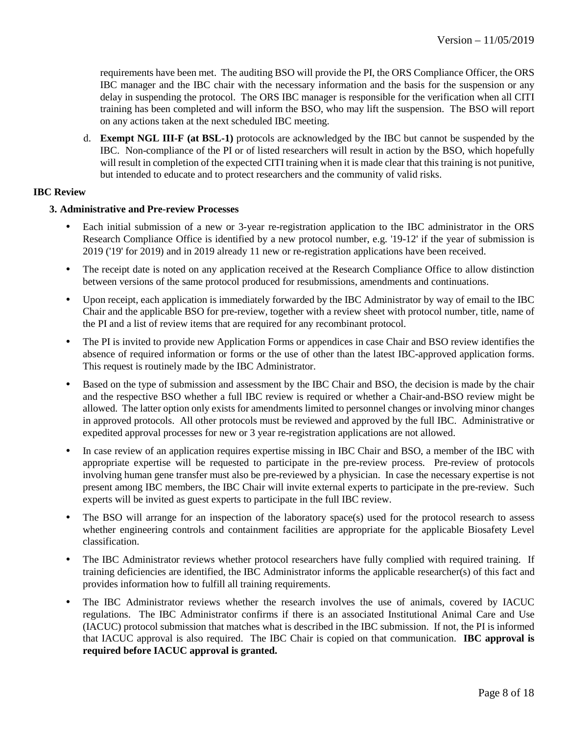requirements have been met. The auditing BSO will provide the PI, the ORS Compliance Officer, the ORS IBC manager and the IBC chair with the necessary information and the basis for the suspension or any delay in suspending the protocol. The ORS IBC manager is responsible for the verification when all CITI training has been completed and will inform the BSO, who may lift the suspension. The BSO will report on any actions taken at the next scheduled IBC meeting.

d. **Exempt NGL III-F (at BSL-1)** protocols are acknowledged by the IBC but cannot be suspended by the IBC. Non-compliance of the PI or of listed researchers will result in action by the BSO, which hopefully will result in completion of the expected CITI training when it is made clear that this training is not punitive, but intended to educate and to protect researchers and the community of valid risks.

# <span id="page-7-0"></span>**IBC Review**

## **3. Administrative and Pre-review Processes**

- Each initial submission of a new or 3-year re-registration application to the IBC administrator in the ORS Research Compliance Office is identified by a new protocol number, e.g. '19-12' if the year of submission is 2019 ('19' for 2019) and in 2019 already 11 new or re-registration applications have been received.
- The receipt date is noted on any application received at the Research Compliance Office to allow distinction between versions of the same protocol produced for resubmissions, amendments and continuations.
- Upon receipt, each application is immediately forwarded by the IBC Administrator by way of email to the IBC Chair and the applicable BSO for pre-review, together with a review sheet with protocol number, title, name of the PI and a list of review items that are required for any recombinant protocol.
- The PI is invited to provide new Application Forms or appendices in case Chair and BSO review identifies the absence of required information or forms or the use of other than the latest IBC-approved application forms. This request is routinely made by the IBC Administrator.
- Based on the type of submission and assessment by the IBC Chair and BSO, the decision is made by the chair and the respective BSO whether a full IBC review is required or whether a Chair-and-BSO review might be allowed. The latter option only exists for amendments limited to personnel changes or involving minor changes in approved protocols. All other protocols must be reviewed and approved by the full IBC. Administrative or expedited approval processes for new or 3 year re-registration applications are not allowed.
- In case review of an application requires expertise missing in IBC Chair and BSO, a member of the IBC with appropriate expertise will be requested to participate in the pre-review process. Pre-review of protocols involving human gene transfer must also be pre-reviewed by a physician. In case the necessary expertise is not present among IBC members, the IBC Chair will invite external experts to participate in the pre-review. Such experts will be invited as guest experts to participate in the full IBC review.
- The BSO will arrange for an inspection of the laboratory space(s) used for the protocol research to assess whether engineering controls and containment facilities are appropriate for the applicable Biosafety Level classification.
- The IBC Administrator reviews whether protocol researchers have fully complied with required training. If training deficiencies are identified, the IBC Administrator informs the applicable researcher(s) of this fact and provides information how to fulfill all training requirements.
- The IBC Administrator reviews whether the research involves the use of animals, covered by IACUC regulations. The IBC Administrator confirms if there is an associated Institutional Animal Care and Use (IACUC) protocol submission that matches what is described in the IBC submission. If not, the PI is informed that IACUC approval is also required. The IBC Chair is copied on that communication. **IBC approval is required before IACUC approval is granted.**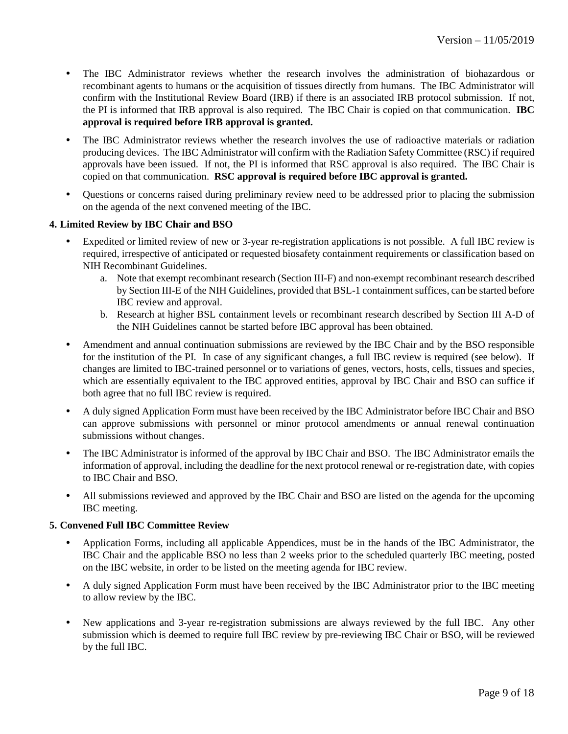- The IBC Administrator reviews whether the research involves the administration of biohazardous or recombinant agents to humans or the acquisition of tissues directly from humans. The IBC Administrator will confirm with the Institutional Review Board (IRB) if there is an associated IRB protocol submission. If not, the PI is informed that IRB approval is also required. The IBC Chair is copied on that communication. **IBC approval is required before IRB approval is granted.**
- The IBC Administrator reviews whether the research involves the use of radioactive materials or radiation producing devices. The IBC Administrator will confirm with the Radiation Safety Committee (RSC) if required approvals have been issued. If not, the PI is informed that RSC approval is also required. The IBC Chair is copied on that communication. **RSC approval is required before IBC approval is granted.**
- Questions or concerns raised during preliminary review need to be addressed prior to placing the submission on the agenda of the next convened meeting of the IBC.

# **4. Limited Review by IBC Chair and BSO**

- Expedited or limited review of new or 3-year re-registration applications is not possible. A full IBC review is required, irrespective of anticipated or requested biosafety containment requirements or classification based on NIH Recombinant Guidelines.
	- a. Note that exempt recombinant research (Section III-F) and non-exempt recombinant research described by Section III-E of the NIH Guidelines, provided that BSL-1 containment suffices, can be started before IBC review and approval.
	- b. Research at higher BSL containment levels or recombinant research described by Section III A-D of the NIH Guidelines cannot be started before IBC approval has been obtained.
- Amendment and annual continuation submissions are reviewed by the IBC Chair and by the BSO responsible for the institution of the PI. In case of any significant changes, a full IBC review is required (see below). If changes are limited to IBC-trained personnel or to variations of genes, vectors, hosts, cells, tissues and species, which are essentially equivalent to the IBC approved entities, approval by IBC Chair and BSO can suffice if both agree that no full IBC review is required.
- A duly signed Application Form must have been received by the IBC Administrator before IBC Chair and BSO can approve submissions with personnel or minor protocol amendments or annual renewal continuation submissions without changes.
- The IBC Administrator is informed of the approval by IBC Chair and BSO. The IBC Administrator emails the information of approval, including the deadline for the next protocol renewal or re-registration date, with copies to IBC Chair and BSO.
- All submissions reviewed and approved by the IBC Chair and BSO are listed on the agenda for the upcoming IBC meeting.

## **5. Convened Full IBC Committee Review**

- Application Forms, including all applicable Appendices, must be in the hands of the IBC Administrator, the IBC Chair and the applicable BSO no less than 2 weeks prior to the scheduled quarterly IBC meeting, posted on the IBC website, in order to be listed on the meeting agenda for IBC review.
- A duly signed Application Form must have been received by the IBC Administrator prior to the IBC meeting to allow review by the IBC.
- New applications and 3-year re-registration submissions are always reviewed by the full IBC. Any other submission which is deemed to require full IBC review by pre-reviewing IBC Chair or BSO, will be reviewed by the full IBC.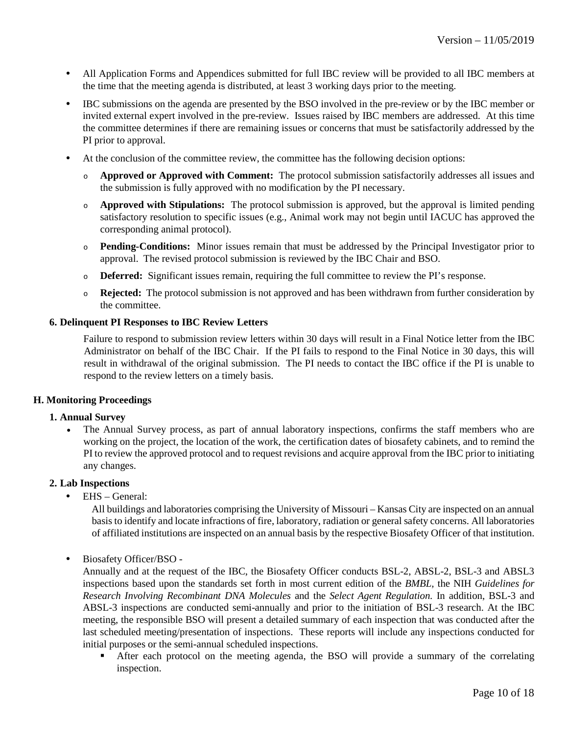- All Application Forms and Appendices submitted for full IBC review will be provided to all IBC members at the time that the meeting agenda is distributed, at least 3 working days prior to the meeting.
- IBC submissions on the agenda are presented by the BSO involved in the pre-review or by the IBC member or invited external expert involved in the pre-review. Issues raised by IBC members are addressed. At this time the committee determines if there are remaining issues or concerns that must be satisfactorily addressed by the PI prior to approval.
- At the conclusion of the committee review, the committee has the following decision options:
	- <sup>o</sup> **Approved or Approved with Comment:** The protocol submission satisfactorily addresses all issues and the submission is fully approved with no modification by the PI necessary.
	- <sup>o</sup> **Approved with Stipulations:** The protocol submission is approved, but the approval is limited pending satisfactory resolution to specific issues (e.g., Animal work may not begin until IACUC has approved the corresponding animal protocol).
	- <sup>o</sup> **Pending-Conditions:** Minor issues remain that must be addressed by the Principal Investigator prior to approval. The revised protocol submission is reviewed by the IBC Chair and BSO.
	- <sup>o</sup> **Deferred:** Significant issues remain, requiring the full committee to review the PI's response.
	- <sup>o</sup> **Rejected:** The protocol submission is not approved and has been withdrawn from further consideration by the committee.

## **6. Delinquent PI Responses to IBC Review Letters**

Failure to respond to submission review letters within 30 days will result in a Final Notice letter from the IBC Administrator on behalf of the IBC Chair. If the PI fails to respond to the Final Notice in 30 days, this will result in withdrawal of the original submission. The PI needs to contact the IBC office if the PI is unable to respond to the review letters on a timely basis.

## <span id="page-9-0"></span>**H. Monitoring Proceedings**

## **1. Annual Survey**

• The Annual Survey process, as part of annual laboratory inspections, confirms the staff members who are working on the project, the location of the work, the certification dates of biosafety cabinets, and to remind the PI to review the approved protocol and to request revisions and acquire approval from the IBC prior to initiating any changes.

## **2. Lab Inspections**

• EHS – General:

All buildings and laboratories comprising the University of Missouri – Kansas City are inspected on an annual basis to identify and locate infractions of fire, laboratory, radiation or general safety concerns. All laboratories of affiliated institutions are inspected on an annual basis by the respective Biosafety Officer of that institution.

• Biosafety Officer/BSO -

Annually and at the request of the IBC, the Biosafety Officer conducts BSL-2, ABSL-2, BSL-3 and ABSL3 inspections based upon the standards set forth in most current edition of the *BMBL,* the NIH *Guidelines for Research Involving Recombinant DNA Molecules* and the *Select Agent Regulation.* In addition, BSL-3 and ABSL-3 inspections are conducted semi-annually and prior to the initiation of BSL-3 research. At the IBC meeting, the responsible BSO will present a detailed summary of each inspection that was conducted after the last scheduled meeting/presentation of inspections. These reports will include any inspections conducted for initial purposes or the semi-annual scheduled inspections.

 After each protocol on the meeting agenda, the BSO will provide a summary of the correlating inspection.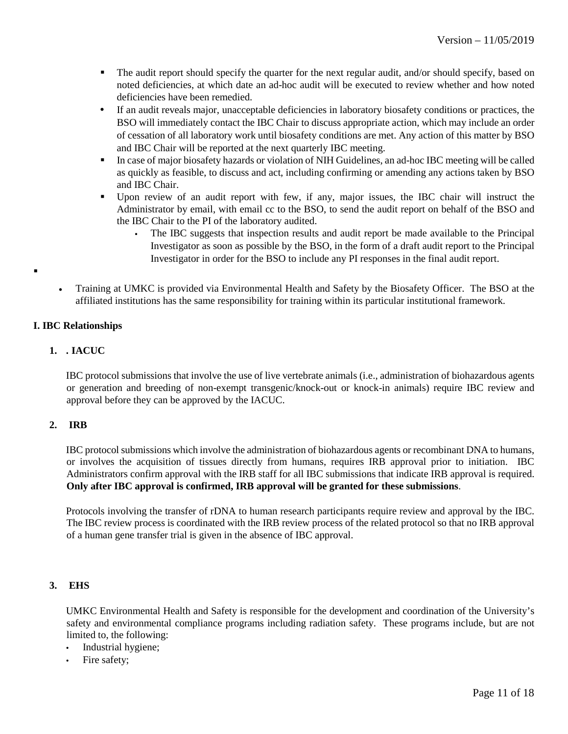- The audit report should specify the quarter for the next regular audit, and/or should specify, based on noted deficiencies, at which date an ad-hoc audit will be executed to review whether and how noted deficiencies have been remedied.
- If an audit reveals major, unacceptable deficiencies in laboratory biosafety conditions or practices, the BSO will immediately contact the IBC Chair to discuss appropriate action, which may include an order of cessation of all laboratory work until biosafety conditions are met. Any action of this matter by BSO and IBC Chair will be reported at the next quarterly IBC meeting.
- In case of major biosafety hazards or violation of NIH Guidelines, an ad-hoc IBC meeting will be called as quickly as feasible, to discuss and act, including confirming or amending any actions taken by BSO and IBC Chair.
- Upon review of an audit report with few, if any, major issues, the IBC chair will instruct the Administrator by email, with email cc to the BSO, to send the audit report on behalf of the BSO and the IBC Chair to the PI of the laboratory audited.
	- The IBC suggests that inspection results and audit report be made available to the Principal Investigator as soon as possible by the BSO, in the form of a draft audit report to the Principal Investigator in order for the BSO to include any PI responses in the final audit report.
- Training at UMKC is provided via Environmental Health and Safety by the Biosafety Officer. The BSO at the affiliated institutions has the same responsibility for training within its particular institutional framework.

# <span id="page-10-0"></span>**I. IBC Relationships**

 $\blacksquare$ 

# **1. . IACUC**

IBC protocol submissions that involve the use of live vertebrate animals (i.e., administration of biohazardous agents or generation and breeding of non-exempt transgenic/knock-out or knock-in animals) require IBC review and approval before they can be approved by the IACUC.

## **2. IRB**

IBC protocol submissions which involve the administration of biohazardous agents or recombinant DNA to humans, or involves the acquisition of tissues directly from humans, requires IRB approval prior to initiation. IBC Administrators confirm approval with the IRB staff for all IBC submissions that indicate IRB approval is required. **Only after IBC approval is confirmed, IRB approval will be granted for these submissions**.

Protocols involving the transfer of rDNA to human research participants require review and approval by the IBC. The IBC review process is coordinated with the IRB review process of the related protocol so that no IRB approval of a human gene transfer trial is given in the absence of IBC approval.

## **3. EHS**

UMKC Environmental Health and Safety is responsible for the development and coordination of the University's safety and environmental compliance programs including radiation safety. These programs include, but are not limited to, the following:

- Industrial hygiene;
- Fire safety;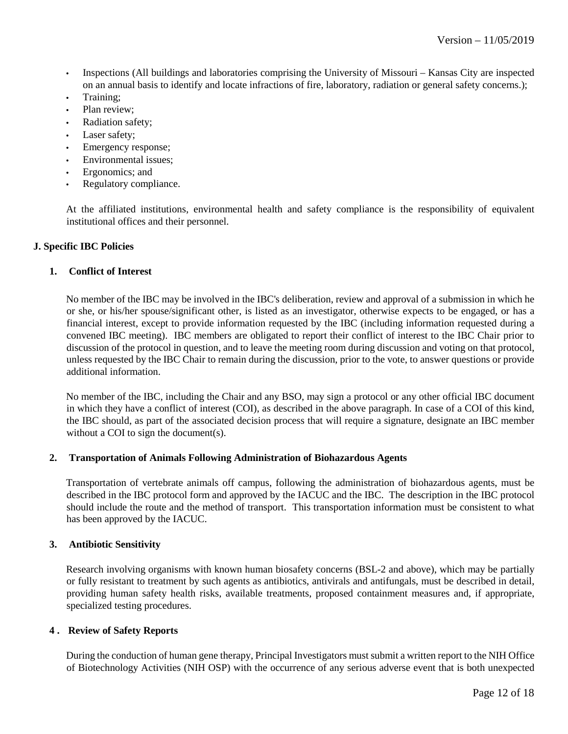- Inspections (All buildings and laboratories comprising the University of Missouri Kansas City are inspected on an annual basis to identify and locate infractions of fire, laboratory, radiation or general safety concerns.);
- Training;
- Plan review;
- Radiation safety;
- Laser safety;
- Emergency response;
- Environmental issues;
- Ergonomics; and
- Regulatory compliance.

At the affiliated institutions, environmental health and safety compliance is the responsibility of equivalent institutional offices and their personnel.

## <span id="page-11-0"></span>**J. Specific IBC Policies**

#### **1. Conflict of Interest**

No member of the IBC may be involved in the IBC's deliberation, review and approval of a submission in which he or she, or his/her spouse/significant other, is listed as an investigator, otherwise expects to be engaged, or has a financial interest, except to provide information requested by the IBC (including information requested during a convened IBC meeting). IBC members are obligated to report their conflict of interest to the IBC Chair prior to discussion of the protocol in question, and to leave the meeting room during discussion and voting on that protocol, unless requested by the IBC Chair to remain during the discussion, prior to the vote, to answer questions or provide additional information.

No member of the IBC, including the Chair and any BSO, may sign a protocol or any other official IBC document in which they have a conflict of interest (COI), as described in the above paragraph. In case of a COI of this kind, the IBC should, as part of the associated decision process that will require a signature, designate an IBC member without a COI to sign the document(s).

#### **2. Transportation of Animals Following Administration of Biohazardous Agents**

Transportation of vertebrate animals off campus, following the administration of biohazardous agents, must be described in the IBC protocol form and approved by the IACUC and the IBC. The description in the IBC protocol should include the route and the method of transport. This transportation information must be consistent to what has been approved by the IACUC.

#### **3. Antibiotic Sensitivity**

Research involving organisms with known human biosafety concerns (BSL-2 and above), which may be partially or fully resistant to treatment by such agents as antibiotics, antivirals and antifungals, must be described in detail, providing human safety health risks, available treatments, proposed containment measures and, if appropriate, specialized testing procedures.

#### **4 . Review of Safety Reports**

During the conduction of human gene therapy, Principal Investigators must submit a written report to the NIH Office of Biotechnology Activities (NIH OSP) with the occurrence of any serious adverse event that is both unexpected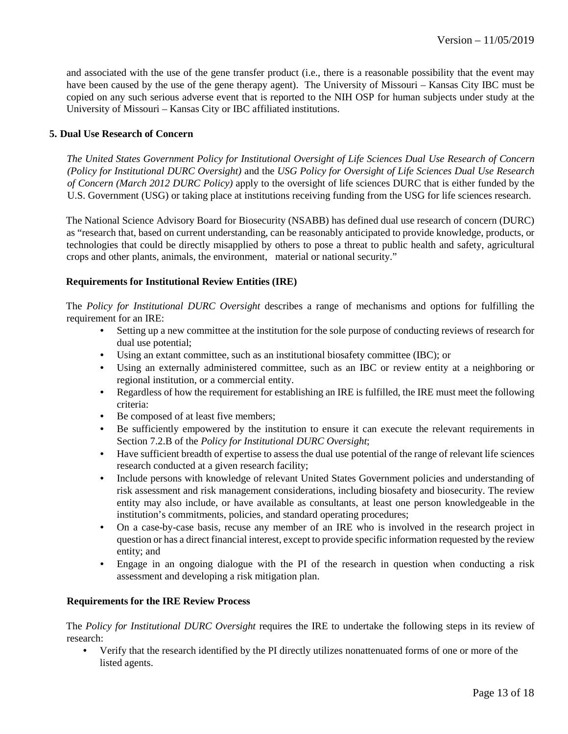and associated with the use of the gene transfer product (i.e., there is a reasonable possibility that the event may have been caused by the use of the gene therapy agent). The University of Missouri – Kansas City IBC must be copied on any such serious adverse event that is reported to the NIH OSP for human subjects under study at the University of Missouri – Kansas City or IBC affiliated institutions.

## **5. Dual Use Research of Concern**

*The United States Government Policy for Institutional Oversight of Life Sciences Dual Use Research of Concern (Policy for Institutional DURC Oversight)* and the *USG Policy for Oversight of Life Sciences Dual Use Research of Concern (March 2012 DURC Policy)* apply to the oversight of life sciences DURC that is either funded by the U.S. Government (USG) or taking place at institutions receiving funding from the USG for life sciences research.

The National Science Advisory Board for Biosecurity (NSABB) has defined dual use research of concern (DURC) as "research that, based on current understanding, can be reasonably anticipated to provide knowledge, products, or technologies that could be directly misapplied by others to pose a threat to public health and safety, agricultural crops and other plants, animals, the environment, material or national security."

#### **Requirements for Institutional Review Entities (IRE)**

The *Policy for Institutional DURC Oversight* describes a range of mechanisms and options for fulfilling the requirement for an IRE:

- Setting up a new committee at the institution for the sole purpose of conducting reviews of research for dual use potential;
- Using an extant committee, such as an institutional biosafety committee (IBC); or
- Using an externally administered committee, such as an IBC or review entity at a neighboring or regional institution, or a commercial entity.
- Regardless of how the requirement for establishing an IRE is fulfilled, the IRE must meet the following criteria:
- Be composed of at least five members;
- Be sufficiently empowered by the institution to ensure it can execute the relevant requirements in Section 7.2.B of the *Policy for Institutional DURC Oversight*;
- Have sufficient breadth of expertise to assess the dual use potential of the range of relevant life sciences research conducted at a given research facility;
- Include persons with knowledge of relevant United States Government policies and understanding of risk assessment and risk management considerations, including biosafety and biosecurity. The review entity may also include, or have available as consultants, at least one person knowledgeable in the institution's commitments, policies, and standard operating procedures;
- On a case-by-case basis, recuse any member of an IRE who is involved in the research project in question or has a direct financial interest, except to provide specific information requested by the review entity; and
- Engage in an ongoing dialogue with the PI of the research in question when conducting a risk assessment and developing a risk mitigation plan.

## **Requirements for the IRE Review Process**

The *Policy for Institutional DURC Oversight* requires the IRE to undertake the following steps in its review of research:

• Verify that the research identified by the PI directly utilizes nonattenuated forms of one or more of the listed agents.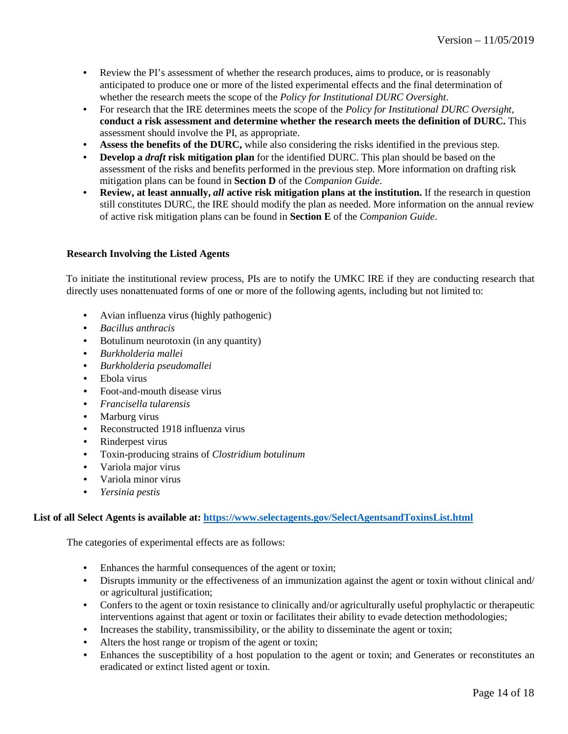- Review the PI's assessment of whether the research produces, aims to produce, or is reasonably anticipated to produce one or more of the listed experimental effects and the final determination of whether the research meets the scope of the *Policy for Institutional DURC Oversight*.
- For research that the IRE determines meets the scope of the *Policy for Institutional DURC Oversight,*  **conduct a risk assessment and determine whether the research meets the definition of DURC.** This assessment should involve the PI, as appropriate.
- **Assess the benefits of the DURC,** while also considering the risks identified in the previous step.
- **Develop a** *draft* **risk mitigation plan** for the identified DURC. This plan should be based on the assessment of the risks and benefits performed in the previous step. More information on drafting risk mitigation plans can be found in **Section D** of the *Companion Guide*.
- **Review, at least annually,** *all* **active risk mitigation plans at the institution.** If the research in question still constitutes DURC, the IRE should modify the plan as needed. More information on the annual review of active risk mitigation plans can be found in **Section E** of the *Companion Guide*.

## **Research Involving the Listed Agents**

To initiate the institutional review process, PIs are to notify the UMKC IRE if they are conducting research that directly uses nonattenuated forms of one or more of the following agents, including but not limited to:

- Avian influenza virus (highly pathogenic)
- *Bacillus anthracis*
- Botulinum neurotoxin (in any quantity)
- *Burkholderia mallei*
- *Burkholderia pseudomallei*
- Ebola virus
- Foot-and-mouth disease virus
- *Francisella tularensis*
- Marburg virus
- Reconstructed 1918 influenza virus
- Rinderpest virus
- Toxin-producing strains of *Clostridium botulinum*
- Variola major virus
- Variola minor virus
- *Yersinia pestis*

## **List of all Select Agents is available at:<https://www.selectagents.gov/SelectAgentsandToxinsList.html>**

The categories of experimental effects are as follows:

- Enhances the harmful consequences of the agent or toxin;
- Disrupts immunity or the effectiveness of an immunization against the agent or toxin without clinical and/ or agricultural justification;
- Confers to the agent or toxin resistance to clinically and/or agriculturally useful prophylactic or therapeutic interventions against that agent or toxin or facilitates their ability to evade detection methodologies;
- Increases the stability, transmissibility, or the ability to disseminate the agent or toxin;
- Alters the host range or tropism of the agent or toxin;
- Enhances the susceptibility of a host population to the agent or toxin; and Generates or reconstitutes an eradicated or extinct listed agent or toxin.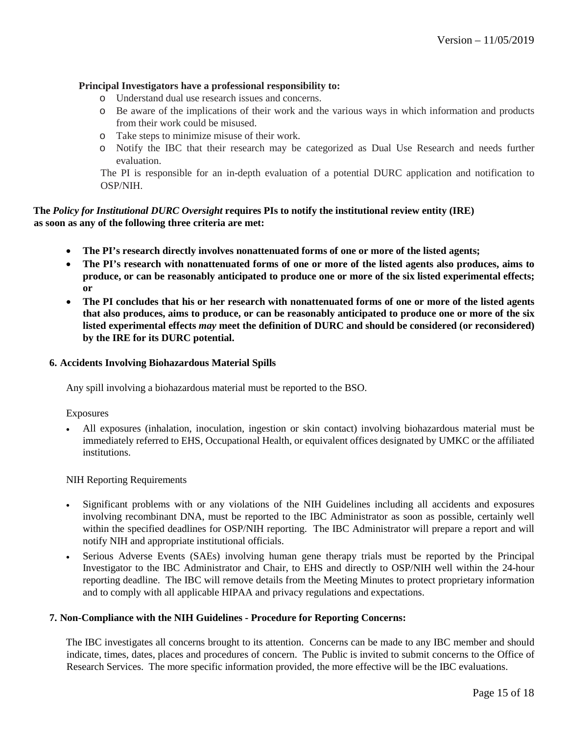## **Principal Investigators have a professional responsibility to:**

- o Understand dual use research issues and concerns.
- o Be aware of the implications of their work and the various ways in which information and products from their work could be misused.
- o Take steps to minimize misuse of their work.
- o Notify the IBC that their research may be categorized as Dual Use Research and needs further evaluation.

The PI is responsible for an in-depth evaluation of a potential DURC application and notification to OSP/NIH.

# **The** *Policy for Institutional DURC Oversight* **requires PIs to notify the institutional review entity (IRE) as soon as any of the following three criteria are met:**

- **The PI's research directly involves nonattenuated forms of one or more of the listed agents;**
- **The PI's research with nonattenuated forms of one or more of the listed agents also produces, aims to produce, or can be reasonably anticipated to produce one or more of the six listed experimental effects; or**
- **The PI concludes that his or her research with nonattenuated forms of one or more of the listed agents that also produces, aims to produce, or can be reasonably anticipated to produce one or more of the six listed experimental effects** *may* **meet the definition of DURC and should be considered (or reconsidered) by the IRE for its DURC potential.**

#### **6. Accidents Involving Biohazardous Material Spills**

Any spill involving a biohazardous material must be reported to the BSO.

#### Exposures

• All exposures (inhalation, inoculation, ingestion or skin contact) involving biohazardous material must be immediately referred to EHS, Occupational Health, or equivalent offices designated by UMKC or the affiliated institutions.

## NIH Reporting Requirements

- Significant problems with or any violations of the NIH Guidelines including all accidents and exposures involving recombinant DNA, must be reported to the IBC Administrator as soon as possible, certainly well within the specified deadlines for OSP/NIH reporting. The IBC Administrator will prepare a report and will notify NIH and appropriate institutional officials.
- Serious Adverse Events (SAEs) involving human gene therapy trials must be reported by the Principal Investigator to the IBC Administrator and Chair, to EHS and directly to OSP/NIH well within the 24-hour reporting deadline. The IBC will remove details from the Meeting Minutes to protect proprietary information and to comply with all applicable HIPAA and privacy regulations and expectations.

#### **7. Non-Compliance with the NIH Guidelines - Procedure for Reporting Concerns:**

The IBC investigates all concerns brought to its attention. Concerns can be made to any IBC member and should indicate, times, dates, places and procedures of concern. The Public is invited to submit concerns to the Office of Research Services. The more specific information provided, the more effective will be the IBC evaluations.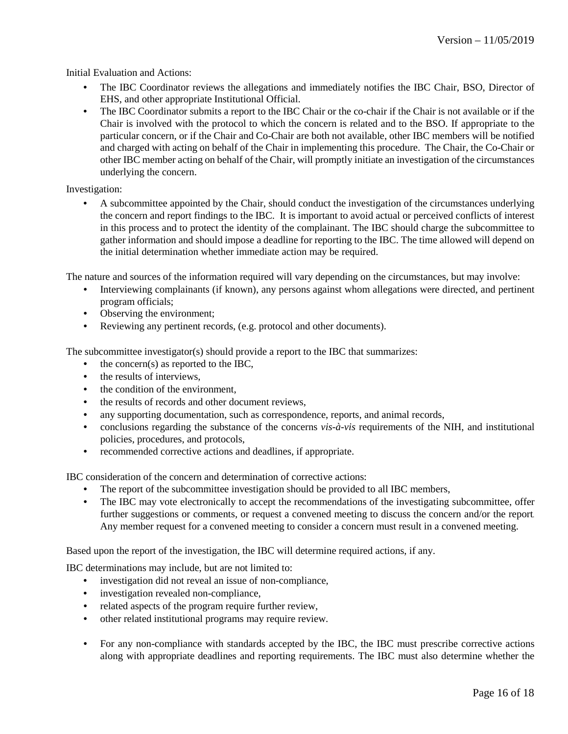Initial Evaluation and Actions:

- The IBC Coordinator reviews the allegations and immediately notifies the IBC Chair, BSO, Director of EHS, and other appropriate Institutional Official.
- The IBC Coordinator submits a report to the IBC Chair or the co-chair if the Chair is not available or if the Chair is involved with the protocol to which the concern is related and to the BSO. If appropriate to the particular concern, or if the Chair and Co-Chair are both not available, other IBC members will be notified and charged with acting on behalf of the Chair in implementing this procedure. The Chair, the Co-Chair or other IBC member acting on behalf of the Chair, will promptly initiate an investigation of the circumstances underlying the concern.

## Investigation:

• A subcommittee appointed by the Chair, should conduct the investigation of the circumstances underlying the concern and report findings to the IBC. It is important to avoid actual or perceived conflicts of interest in this process and to protect the identity of the complainant. The IBC should charge the subcommittee to gather information and should impose a deadline for reporting to the IBC. The time allowed will depend on the initial determination whether immediate action may be required.

The nature and sources of the information required will vary depending on the circumstances, but may involve:

- Interviewing complainants (if known), any persons against whom allegations were directed, and pertinent program officials;
- Observing the environment;
- Reviewing any pertinent records, (e.g. protocol and other documents).

The subcommittee investigator(s) should provide a report to the IBC that summarizes:

- the concern(s) as reported to the IBC,
- the results of interviews.
- the condition of the environment.
- the results of records and other document reviews,
- any supporting documentation, such as correspondence, reports, and animal records,
- conclusions regarding the substance of the concerns *vis-à-vis* requirements of the NIH, and institutional policies, procedures, and protocols,
- recommended corrective actions and deadlines, if appropriate.

IBC consideration of the concern and determination of corrective actions:

- The report of the subcommittee investigation should be provided to all IBC members,
- The IBC may vote electronically to accept the recommendations of the investigating subcommittee, offer further suggestions or comments, or request a convened meeting to discuss the concern and/or the report. Any member request for a convened meeting to consider a concern must result in a convened meeting.

Based upon the report of the investigation, the IBC will determine required actions, if any.

IBC determinations may include, but are not limited to:

- investigation did not reveal an issue of non-compliance,
- investigation revealed non-compliance,
- related aspects of the program require further review,
- other related institutional programs may require review.
- For any non-compliance with standards accepted by the IBC, the IBC must prescribe corrective actions along with appropriate deadlines and reporting requirements. The IBC must also determine whether the